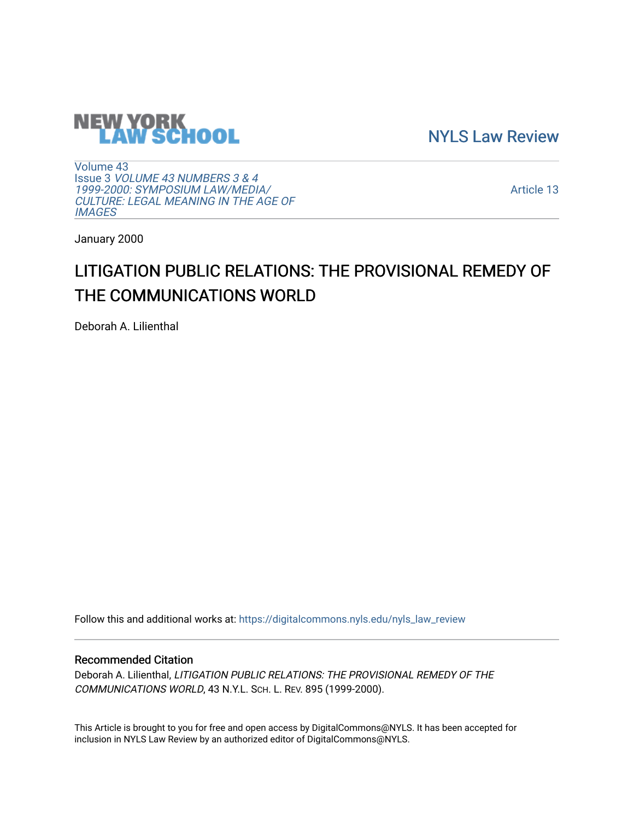

[NYLS Law Review](https://digitalcommons.nyls.edu/nyls_law_review) 

[Volume 43](https://digitalcommons.nyls.edu/nyls_law_review/vol43) Issue 3 [VOLUME 43 NUMBERS 3 & 4](https://digitalcommons.nyls.edu/nyls_law_review/vol43/iss3)  [1999-2000: SYMPOSIUM LAW/MEDIA/](https://digitalcommons.nyls.edu/nyls_law_review/vol43/iss3) [CULTURE: LEGAL MEANING IN THE AGE OF](https://digitalcommons.nyls.edu/nyls_law_review/vol43/iss3) **[IMAGES](https://digitalcommons.nyls.edu/nyls_law_review/vol43/iss3)** 

[Article 13](https://digitalcommons.nyls.edu/nyls_law_review/vol43/iss3/13) 

January 2000

# LITIGATION PUBLIC RELATIONS: THE PROVISIONAL REMEDY OF THE COMMUNICATIONS WORLD

Deborah A. Lilienthal

Follow this and additional works at: [https://digitalcommons.nyls.edu/nyls\\_law\\_review](https://digitalcommons.nyls.edu/nyls_law_review?utm_source=digitalcommons.nyls.edu%2Fnyls_law_review%2Fvol43%2Fiss3%2F13&utm_medium=PDF&utm_campaign=PDFCoverPages) 

# Recommended Citation

Deborah A. Lilienthal, LITIGATION PUBLIC RELATIONS: THE PROVISIONAL REMEDY OF THE COMMUNICATIONS WORLD, 43 N.Y.L. SCH. L. REV. 895 (1999-2000).

This Article is brought to you for free and open access by DigitalCommons@NYLS. It has been accepted for inclusion in NYLS Law Review by an authorized editor of DigitalCommons@NYLS.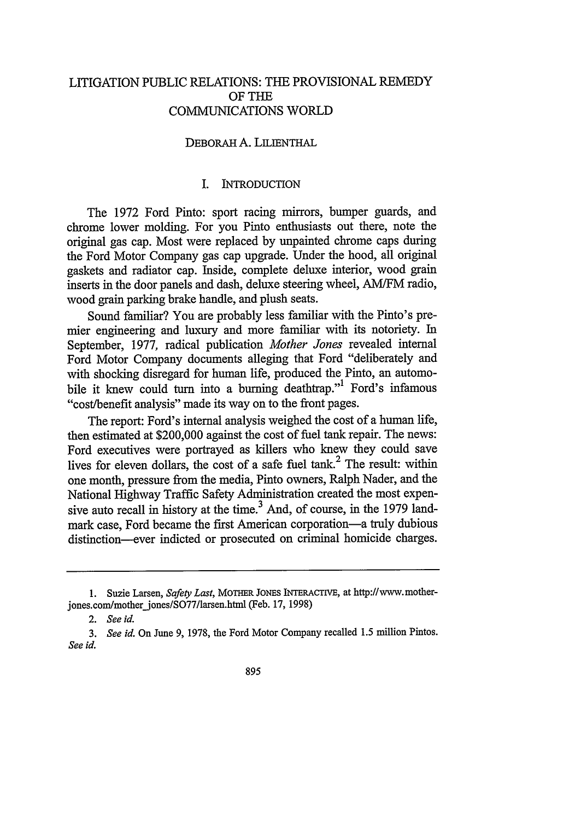# LITIGATION PUBLIC RELATIONS: THE PROVISIONAL REMEDY OF THE COMMUNICATIONS WORLD

# DEBORAH A. LILIENTHAL

# I. INTRODUCTION

The 1972 Ford Pinto: sport racing mirrors, bumper guards, and chrome lower molding. For you Pinto enthusiasts out there, note the original gas cap. Most were replaced by unpainted chrome caps during the Ford Motor Company gas cap upgrade. Under the hood, all original gaskets and radiator cap. Inside, complete deluxe interior, wood grain inserts in the door panels and dash, deluxe steering wheel, AM/FM radio, wood grain parking brake handle, and plush seats.

Sound familiar? You are probably less familiar with the Pinto's premier engineering and luxury and more familiar with its notoriety. In September, 1977, radical publication *Mother Jones* revealed internal Ford Motor Company documents alleging that Ford "deliberately and with shocking disregard for human life, produced the Pinto, an automobile it knew could turn into a burning deathtrap."<sup>1</sup> Ford's infamous "cost/benefit analysis" made its way on to the front pages.

The report: Ford's internal analysis weighed the cost of a human life, then estimated at \$200,000 against the cost of fuel tank repair. The news: Ford executives were portrayed as killers who knew they could save lives for eleven dollars, the cost of a safe fuel tank.<sup>2</sup> The result: within one month, pressure from the media, Pinto owners, Ralph Nader, and the National Highway Traffic Safety Administration created the most expensive auto recall in history at the time.<sup>3</sup> And, of course, in the 1979 landmark case. Ford became the first American corporation—a truly dubious distinction--ever indicted or prosecuted on criminal homicide charges.

<sup>1.</sup> Suzie Larsen, *Safety Last,* MOTHER **JONES** INTERACTrVE, at http://www.motherjones.com/mother jones/SO77/larsen.html (Feb. 17, 1998)

*<sup>2.</sup> See id.*

*<sup>3.</sup> See id.* On June 9, 1978, the Ford Motor Company recalled 1.5 million Pintos. *See id.*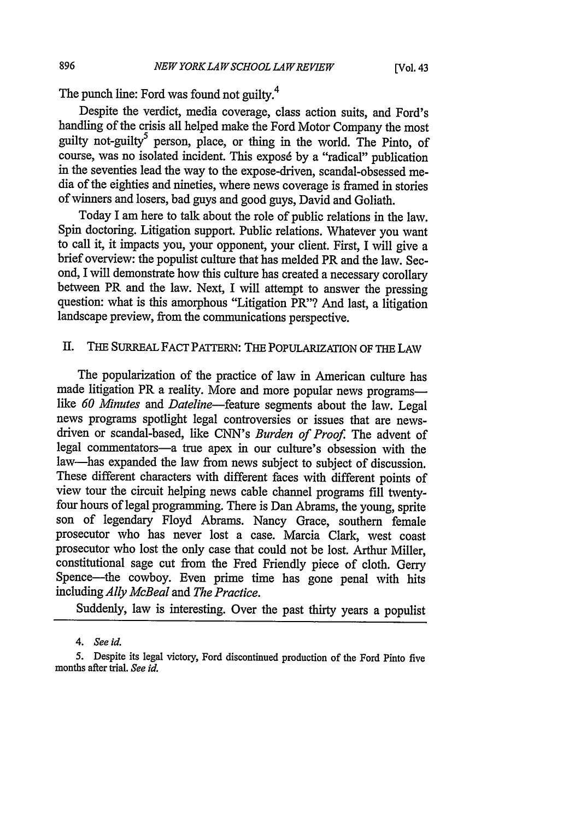The punch line: Ford was found not guilty.<sup>4</sup>

Despite the verdict, media coverage, class action suits, and Ford's handling of the crisis all helped make the Ford Motor Company the most guilty not-guilty<sup>5</sup> person, place, or thing in the world. The Pinto, of course, was no isolated incident. This exposé by a "radical" publication in the seventies lead the way to the expose-driven, scandal-obsessed media of the eighties and nineties, where news coverage is framed in stories of winners and losers, bad guys and good guys, David and Goliath.

Today I am here to talk about the role of public relations in the law. Spin doctoring. Litigation support. Public relations. Whatever you want to call it, it impacts you, your opponent, your client. First, I will give a brief overview: the populist culture that has melded PR and the law. Second, I will demonstrate how this culture has created a necessary corollary between PR and the law. Next, I will attempt to answer the pressing question: what is this amorphous "Litigation PR"? And last, a litigation landscape preview, from the communications perspective.

# If. **THE** SURREAL **FACT** PATrERN: THE POPULARIZATION OF **THE LAW**

The popularization of the practice of law in American culture has made litigation PR a reality. More and more popular news programslike *60 Minutes* and *Dateline-feature* segments about the law. Legal news programs spotlight legal controversies or issues that are newsdriven or scandal-based, like CNN's *Burden of Proof.* The advent of legal commentators-a true apex in our culture's obsession with the law-has expanded the law from news subject to subject of discussion. These different characters with different faces with different points of view tour the circuit helping news cable channel programs fill twentyfour hours of legal programming. There is Dan Abrams, the young, sprite son of legendary Floyd Abrams. Nancy Grace, southern female prosecutor who has never lost a case. Marcia Clark, west coast prosecutor who lost the only case that could not be lost. Arthur Miller, constitutional sage cut from the Fred Friendly piece of cloth. Gerry Spence-the cowboy. Even prime time has gone penal with hits including *Ally McBeal and The Practice.*

Suddenly, law is interesting. Over the past thirty years a populist

*<sup>4.</sup> See id.*

<sup>5.</sup> Despite its legal victory, Ford discontinued production of the Ford Pinto five months after trial. *See id.*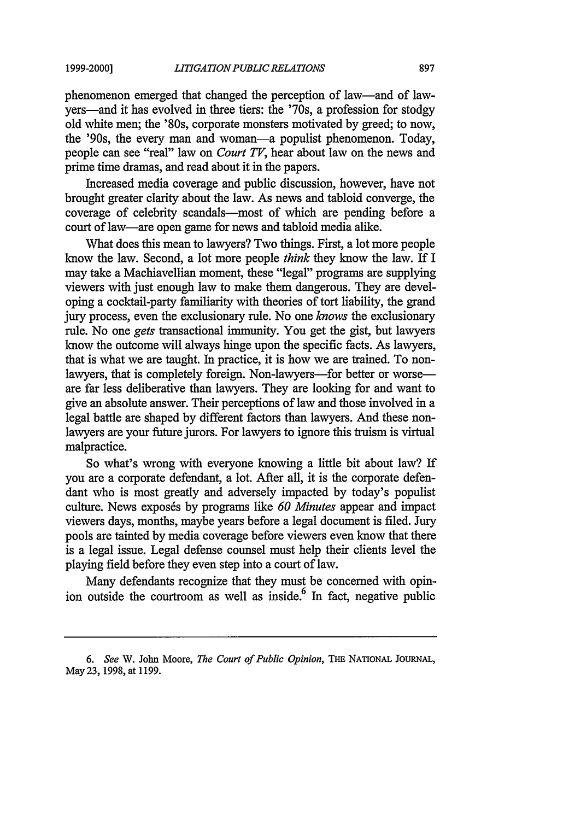#### **1999-2000)**

phenomenon emerged that changed the perception of law-and of lawyers—and it has evolved in three tiers: the '70s, a profession for stodgy old white men; the '80s, corporate monsters motivated by greed; to now, the '90s, the every man and woman-a populist phenomenon. Today, people can see "real" law on *Court TV,* hear about law on the news and prime time dramas, and read about it in the papers.

Increased media coverage and public discussion, however, have not brought greater clarity about the law. As news and tabloid converge, the coverage of celebrity scandals—most of which are pending before a court of law-are open game for news and tabloid media alike.

What does this mean to lawyers? Two things. First, a lot more people know the law. Second, a lot more people *think* they know the law. If I may take a Machiavellian moment, these "legal" programs are supplying viewers with just enough law to make them dangerous. They are developing a cocktail-party familiarity with theories of tort liability, the grand jury process, even the exclusionary rule. No one *knows* the exclusionary rule. No one *gets* transactional immunity. You get the gist, but lawyers know the outcome will always hinge upon the specific facts. As lawyers, that is what we are taught. In practice, it is how we are trained. To nonlawyers, that is completely foreign. Non-lawyers-for better or worseare far less deliberative than lawyers. They are looking for and want to give an absolute answer. Their perceptions of law and those involved in a legal battle are shaped by different factors than lawyers. And these nonlawyers are your future jurors. For lawyers to ignore this truism is virtual malpractice.

So what's wrong with everyone knowing a little bit about law? If you are a corporate defendant, a lot. After all, it is the corporate defendant who is most greatly and adversely impacted by today's populist culture. News exposes by programs like *60 Minutes* appear and impact viewers days, months, maybe years before a legal document is filed. Jury pools are tainted by media coverage before viewers even know that there is a legal issue. Legal defense counsel must help their clients level the playing field before they even step into a court of law.

Many defendants recognize that they must be concerned with opinion outside the courtroom as well as inside.<sup>6</sup> In fact, negative public

*<sup>6.</sup> See* W. John Moore, *The Court of Public Opinion, TnE* NATIONAL JOURNAL, May 23, 1998, at 1199.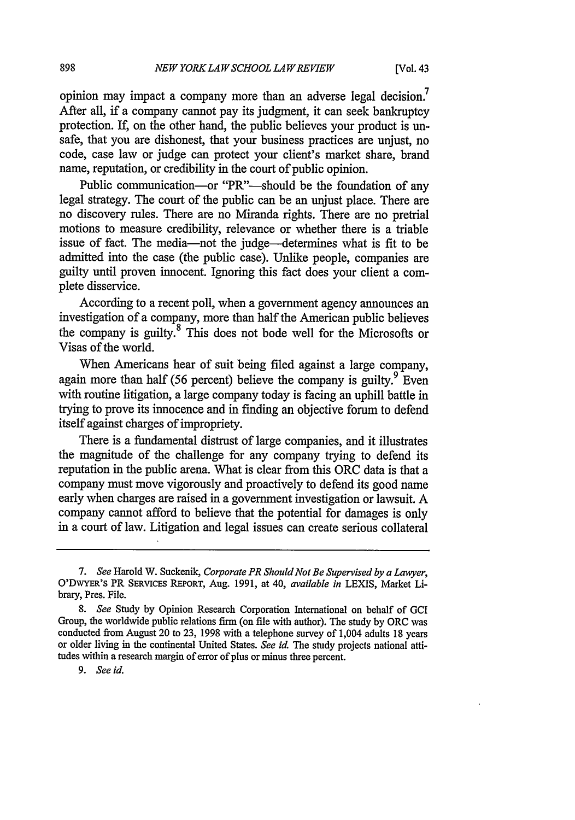opinion may impact a company more than an adverse legal decision.<sup>7</sup> After all, if a company cannot pay its judgment, it can seek bankruptcy protection. If, on the other hand, the public believes your product is unsafe, that you are dishonest, that your business practices are unjust, no code, case law or judge can protect your client's market share, brand name, reputation, or credibility in the court of public opinion.

Public communication-or "PR"--should be the foundation of any legal strategy. The court of the public can be an unjust place. There are no discovery rules. There are no Miranda rights. There are no pretrial motions to measure credibility, relevance or whether there is a triable issue of fact. The media-not the judge-determines what is fit to be admitted into the case (the public case). Unlike people, companies are guilty until proven innocent. Ignoring this fact does your client a complete disservice.

According to a recent poll, when a government agency announces an investigation of a company, more than half the American public believes the company is guilty.<sup>8</sup> This does not bode well for the Microsofts or Visas of the world.

When Americans hear of suit being filed against a large company, again more than half (56 percent) believe the company is guilty. $9^{9}$  Even with routine litigation, a large company today is facing an uphill battle in trying to prove its innocence and in finding an objective forum to defend itself against charges of impropriety.

There is a fundamental distrust of large companies, and it illustrates the magnitude of the challenge for any company trying to defend its reputation in the public arena. What is clear from this ORC data is that a company must move vigorously and proactively to defend its good name early when charges are raised in a government investigation or lawsuit. A company cannot afford to believe that the potential for damages is only in a court of law. Litigation and legal issues can create serious collateral

*<sup>7.</sup> See* Harold W. Suckenik, *Corporate PR Should Not Be Supervised by a Lawyer,* O'DWYER'S PR SERvICEs REPORT, Aug. 1991, at 40, *available in* LEXIS, Market Library, Pres. File.

*<sup>8.</sup> See* Study by Opinion Research Corporation International on behalf of GCI Group, the worldwide public relations firm (on file with author). The study by ORC was conducted from August 20 to 23, 1998 with a telephone survey of 1,004 adults 18 years or older living in the continental United States. *See id.* The study projects national attitudes within a research margin of error of plus or minus three percent.

*<sup>9.</sup> See id.*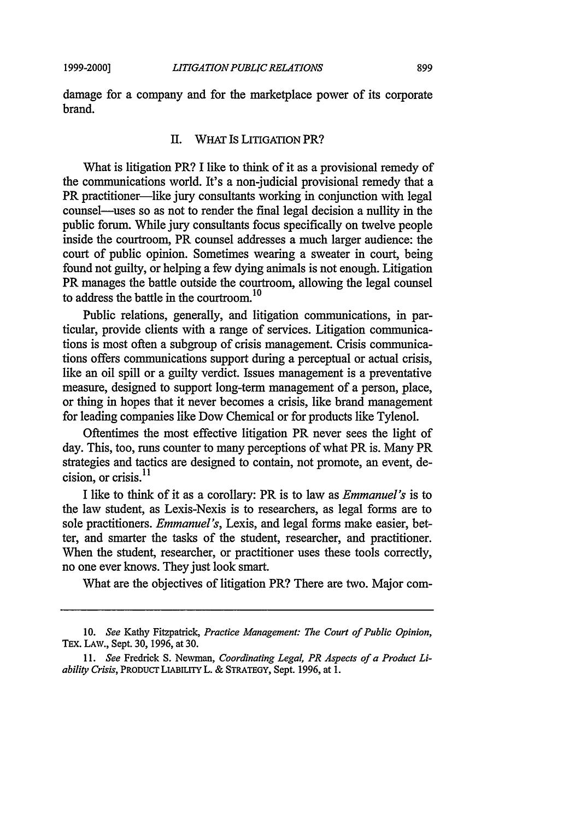damage for a company and for the marketplace power of its corporate brand.

#### II. WHAT Is LITIGATION PR?

What is litigation PR? I like to think of it as a provisional remedy of the communications world. It's a non-judicial provisional remedy that a PR practitioner—like jury consultants working in conjunction with legal counsel-uses so as not to render the final legal decision a nullity in the public forum. While jury consultants focus specifically on twelve people inside the courtroom, PR counsel addresses a much larger audience: the court of public opinion. Sometimes wearing a sweater in court, being found not guilty, or helping a few dying animals is not enough. Litigation PR manages the battle outside the courtroom, allowing the legal counsel to address the battle in the courtroom.10

Public relations, generally, and litigation communications, in particular, provide clients with a range of services. Litigation communications is most often a subgroup of crisis management. Crisis communications offers communications support during a perceptual or actual crisis, like an oil spill or a guilty verdict. Issues management is a preventative measure, designed to support long-term management of a person, place, or thing in hopes that it never becomes a crisis, like brand management for leading companies like Dow Chemical or for products like Tylenol.

Oftentimes the most effective litigation PR never sees the light of day. This, too, runs counter to many perceptions of what PR is. Many PR strategies and tactics are designed to contain, not promote, an event, decision, or crisis.<sup>11</sup>

I like to think of it as a corollary: PR is to law as *Emmanuel's* is to the law student, as Lexis-Nexis is to researchers, as legal forms are to sole practitioners. *Emmanuel's,* Lexis, and legal forms make easier, better, and smarter the tasks of the student, researcher, and practitioner. When the student, researcher, or practitioner uses these tools correctly, no one ever knows. They just look smart.

What are the objectives of litigation PR? There are two. Major com-

<sup>10.</sup> *See* Kathy Fitzpatrick, *Practice Management: The Court of Public Opinion,* TEx. LAW., Sept. 30, 1996, at 30.

*<sup>11.</sup> See* Fredrick S. Newman, *Coordinating Legal, PR Aspects of a Product Liability Crisis, PRODUCT LIABILITY L. & STRATEGY, Sept. 1996, at 1.*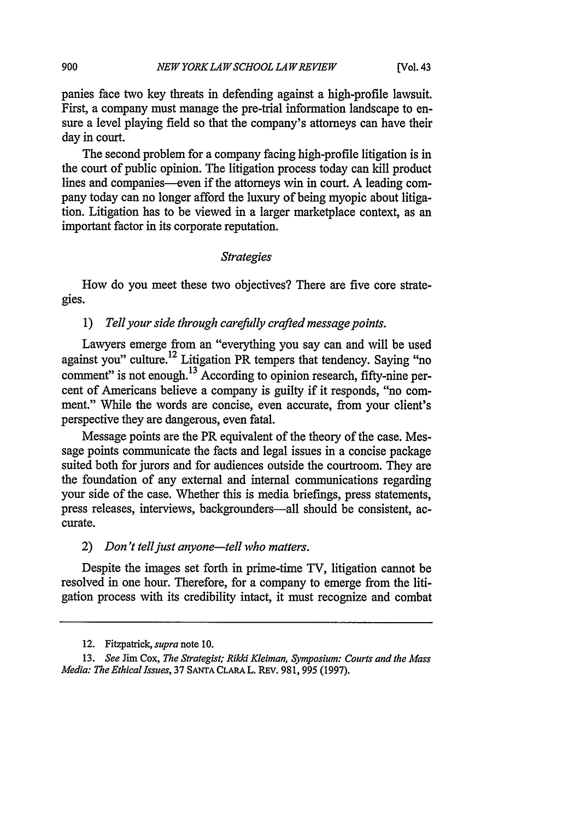panies face two key threats in defending against a high-profile lawsuit. First, a company must manage the pre-trial information landscape to ensure a level playing field so that the company's attorneys can have their day in court.

The second problem for a company facing high-profile litigation is in the court of public opinion. The litigation process today can kill product lines and companies—even if the attorneys win in court. A leading company today can no longer afford the luxury of being myopic about litigation. Litigation has to be viewed in a larger marketplace context, as an important factor in its corporate reputation.

#### *Strategies*

How do you meet these two objectives? There are five core strategies.

# 1) *Tell your side through carefully crafted message points.*

Lawyers emerge from an "everything you say can and will be used against you" culture.12 Litigation PR tempers that tendency. Saying "no comment" is not enough.<sup>13</sup> According to opinion research, fifty-nine percent of Americans believe a company is guilty if it responds, "no comment." While the words are concise, even accurate, from your client's perspective they are dangerous, even fatal.

Message points are the PR equivalent of the theory of the case. Message points communicate the facts and legal issues in a concise package suited both for jurors and for audiences outside the courtroom. They are the foundation of any external and internal communications regarding your side of the case. Whether this is media briefings, press statements, press releases, interviews, backgrounders—all should be consistent, accurate.

2) *Don't tell just anyone-tell who matters.*

Despite the images set forth in prime-time TV, litigation cannot be resolved in one hour. Therefore, for a company to emerge from the litigation process with its credibility intact, it must recognize and combat

900

<sup>12.</sup> Fitzpatrick, *supra* note 10.

<sup>13.</sup> *See* Jim Cox, *The Strategist; Rikki Kleiman, Symposium: Courts and the Mass Media: The Ethical Issues,* 37 **SANTA CLARA** L. REV. 981, 995 (1997).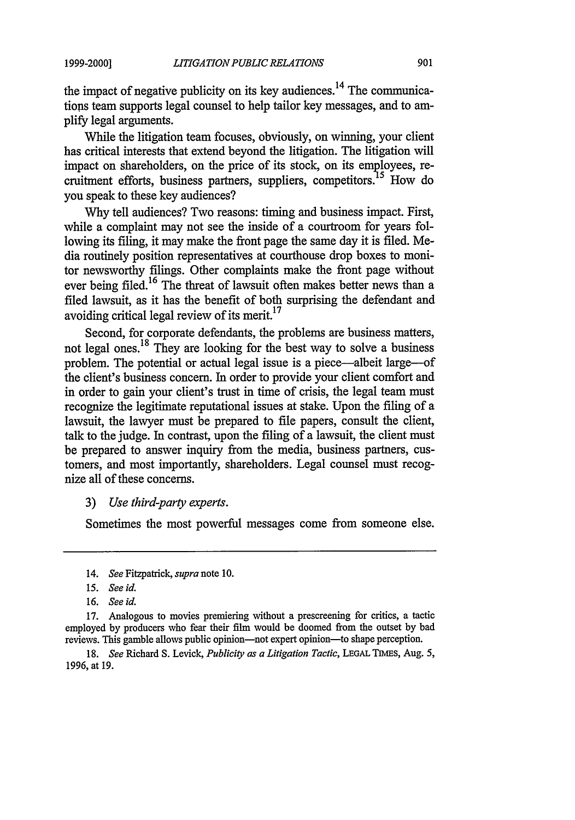the impact of negative publicity on its key audiences.<sup>14</sup> The communications team supports legal counsel to help tailor key messages, and to amplify legal arguments.

While the litigation team focuses, obviously, on winning, your client has critical interests that extend beyond the litigation. The litigation will impact on shareholders, on the price of its stock, on its employees, recruitment efforts, business partners, suppliers, competitors.<sup>15</sup> How do you speak to these key audiences?

Why tell audiences? Two reasons: timing and business impact. First, while a complaint may not see the inside of a courtroom for years following its filing, it may make the front page the same day it is filed. Media routinely position representatives at courthouse drop boxes to monitor newsworthy filings. Other complaints make the front page without ever being filed.<sup>16</sup> The threat of lawsuit often makes better news than a filed lawsuit, as it has the benefit of both surprising the defendant and avoiding critical legal review of its merit.<sup>17</sup>

Second, for corporate defendants, the problems are business matters, not legal ones. 18 They are looking for the best way to solve a business problem. The potential or actual legal issue is a piece-albeit large-of the client's business concern. In order to provide your client comfort and in order to gain your client's trust in time of crisis, the legal team must recognize the legitimate reputational issues at stake. Upon the filing of a lawsuit, the lawyer must be prepared to file papers, consult the client, talk to the judge. In contrast, upon the filing of a lawsuit, the client must be prepared to answer inquiry from the media, business partners, customers, and most importantly, shareholders. Legal counsel must recognize all of these concerns.

# 3) *Use third-party experts.*

Sometimes the most powerful messages come from someone else.

18. *See* Richard S. Levick, *Publicity as a Litigation Tactic,* **LEGAL TiMEs,** Aug. 5, 1996, at 19.

<sup>14.</sup> *See* Fitzpatrick, *supra* note **10.**

*<sup>15.</sup> See id.*

<sup>16.</sup> *See id.*

<sup>17.</sup> Analogous to movies premiering without a prescreening for critics, a tactic employed by producers who fear their film would be doomed from the outset by bad reviews. This gamble allows public opinion--not expert opinion--to shape perception.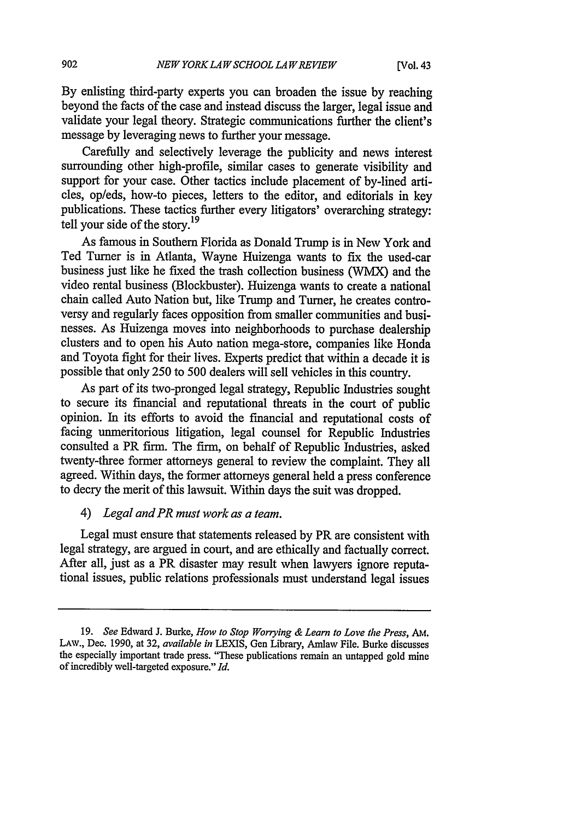**By** enlisting third-party experts you can broaden the issue **by** reaching beyond the facts of the case and instead discuss the larger, legal issue and validate your legal theory. Strategic communications further the client's message by leveraging news to further your message.

Carefully and selectively leverage the publicity and news interest surrounding other high-profile, similar cases to generate visibility and support for your case. Other tactics include placement of by-lined articles, op/eds, how-to pieces, letters to the editor, and editorials in key publications. These tactics further every litigators' overarching strategy: tell your side of the story. <sup>19</sup>

As famous in Southern Florida as Donald Trump is in New York and Ted Turner is in Atlanta, Wayne Huizenga wants to fix the used-car business just like he fixed the trash collection business (WMX) and the video rental business (Blockbuster). Huizenga wants to create a national chain called Auto Nation but, like Trump and Turner, he creates controversy and regularly faces opposition from smaller communities and businesses. As Huizenga moves into neighborhoods to purchase dealership clusters and to open his Auto nation mega-store, companies like Honda and Toyota fight for their lives. Experts predict that within a decade it is possible that only 250 to 500 dealers will sell vehicles in this country.

As part of its two-pronged legal strategy, Republic Industries sought to secure its financial and reputational threats in the court of public opinion. In its efforts to avoid the financial and reputational costs of facing unmeritorious litigation, legal counsel for Republic Industries consulted a PR firm. The firm, on behalf of Republic Industries, asked twenty-three former attorneys general to review the complaint. They all agreed. Within days, the former attorneys general held a press conference to decry the merit of this lawsuit. Within days the suit was dropped.

#### *4) Legal and PR must work as a team.*

Legal must ensure that statements released by PR are consistent with legal strategy, are argued in court, and are ethically and factually correct. After all, just as a PR disaster may result when lawyers ignore reputational issues, public relations professionals must understand legal issues

<sup>19.</sup> *See* Edward J. Burke, *How to Stop Worrying & Learn to Love the Press, AM.* LAw., Dec. 1990, at 32, *available in* LEXIS, Gen Library, Amlaw File. Burke discusses the especially important trade press. "These publications remain an untapped gold mine of incredibly well-targeted exposure." *Id.*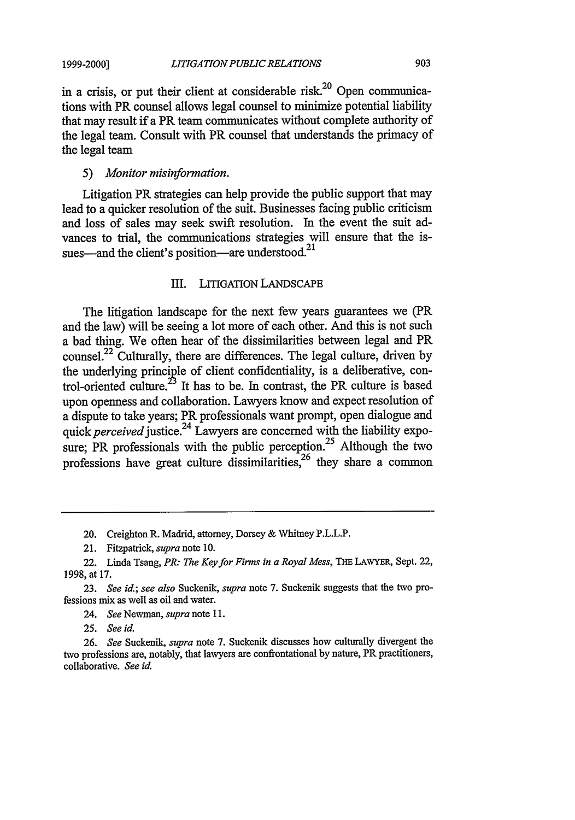**1999-2000]**

in a crisis, or put their client at considerable risk.<sup>20</sup> Open communications with PR counsel allows legal counsel to minimize potential liability that may result if a PR team communicates without complete authority of the legal team. Consult with PR counsel that understands the primacy of the legal team

#### *5) Monitor misinformation.*

Litigation PR strategies can help provide the public support that may lead to a quicker resolution of the suit. Businesses facing public criticism and loss of sales may seek swift resolution. In the event the suit advances to trial, the communications strategies will ensure that the issues—and the client's position—are understood. $^{21}$ 

# III. LITIGATION LANDSCAPE

The litigation landscape for the next few years guarantees we (PR and the law) will be seeing a lot more of each other. And this is not such a bad thing. We often hear of the dissimilarities between legal and PR counsel.22 Culturally, there are differences. The legal culture, driven by the underlying principle of client confidentiality, is a deliberative, control-oriented culture.<sup>23</sup> It has to be. In contrast, the PR culture is based upon openness and collaboration. Lawyers know and expect resolution of a dispute to take years; PR professionals want prompt, open dialogue and *quick perceived justice.24* Lawyers are concerned with the liability exposure; PR professionals with the public perception.<sup>25</sup> Although the two professions have great culture dissimilarities,  $26$  they share a common

20. Creighton **R.** Madrid, attorney, Dorsey & Whitney P.L.L.P.

21. Fitzpatrick, *supra* note 10.

22. Linda Tsang, *PR: The Key for Firms in a Royal Mess,* **THE** LAWYER, Sept. 22, 1998, at 17.

23. *See id.; see also* Suckenik, *supra* note 7. Suckenik suggests that the two professions mix as well as oil and water.

24. *See* Newman, *supra* note 11.

25. *See id.*

26. *See* Suckenik, *supra* note 7. Suckenik discusses how culturally divergent the two professions are, notably, that lawyers are confrontational by nature, PR practitioners, collaborative. *See id.*